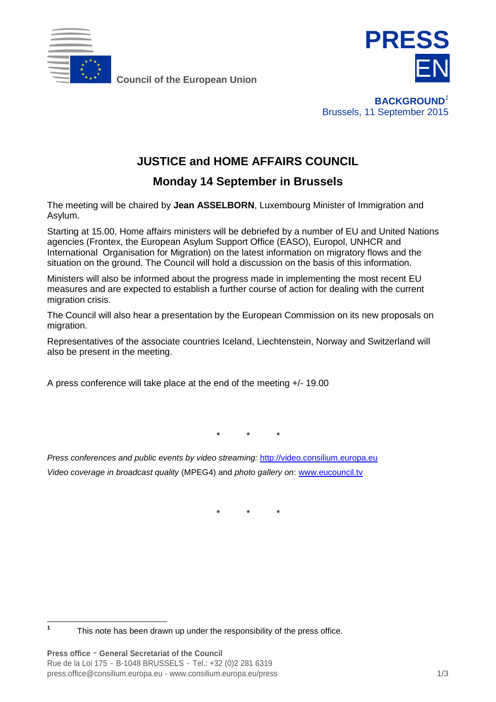

**Council of the European Union**



**BACKGROUND***<sup>1</sup>* Brussels, 11 September 2015

## **JUSTICE and HOME AFFAIRS COUNCIL**

## **Monday 14 September in Brussels**

The meeting will be chaired by **Jean ASSELBORN**, Luxembourg Minister of Immigration and Asylum.

Starting at 15.00, Home affairs ministers will be debriefed by a number of EU and United Nations agencies (Frontex, the European Asylum Support Office (EASO), Europol, UNHCR and International Organisation for Migration) on the latest information on migratory flows and the situation on the ground. The Council will hold a discussion on the basis of this information.

Ministers will also be informed about the progress made in implementing the most recent EU measures and are expected to establish a further course of action for dealing with the current migration crisis.

The Council will also hear a presentation by the European Commission on its new proposals on migration.

Representatives of the associate countries Iceland, Liechtenstein, Norway and Switzerland will also be present in the meeting.

A press conference will take place at the end of the meeting +/- 19.00

*\* \* \**

*Press conferences and public events by video streaming:* [http://video.consilium.europa.eu](http://video.consilium.europa.eu/) *Video coverage in broadcast quality* (MPEG4) and *photo gallery on*: [www.eucouncil.tv](http://www.eucouncil.tv/)

*\* \* \**

 **1** This note has been drawn up under the responsibility of the press office.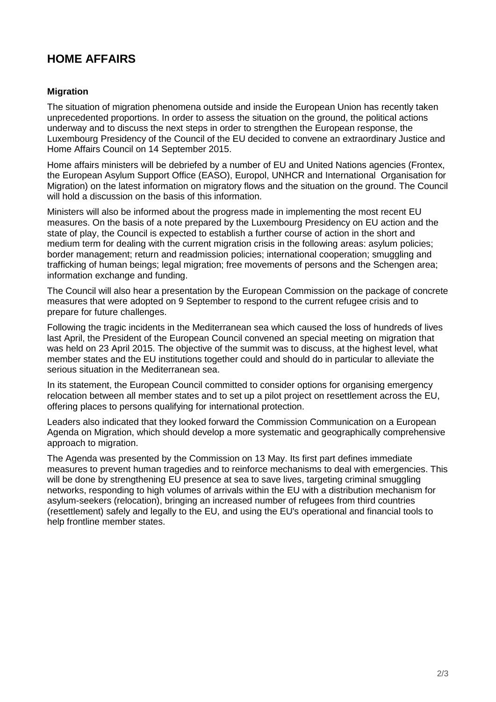## **HOME AFFAIRS**

## **Migration**

The situation of migration phenomena outside and inside the European Union has recently taken unprecedented proportions. In order to assess the situation on the ground, the political actions underway and to discuss the next steps in order to strengthen the European response, the Luxembourg Presidency of the Council of the EU decided to convene an extraordinary Justice and Home Affairs Council on 14 September 2015.

Home affairs ministers will be debriefed by a number of EU and United Nations agencies (Frontex, the European Asylum Support Office (EASO), Europol, UNHCR and International Organisation for Migration) on the latest information on migratory flows and the situation on the ground. The Council will hold a discussion on the basis of this information.

Ministers will also be informed about the progress made in implementing the most recent EU measures. On the basis of a note prepared by the Luxembourg Presidency on EU action and the state of play, the Council is expected to establish a further course of action in the short and medium term for dealing with the current migration crisis in the following areas: asylum policies; border management; return and readmission policies; international cooperation; smuggling and trafficking of human beings; legal migration; free movements of persons and the Schengen area; information exchange and funding.

The Council will also hear a presentation by the European Commission on the package of concrete measures that were adopted on 9 September to respond to the current refugee crisis and to prepare for future challenges.

Following the tragic incidents in the Mediterranean sea which caused the loss of hundreds of lives last April, the President of the European Council convened an special meeting on migration that was held on 23 April 2015. The objective of the summit was to discuss, at the highest level, what member states and the EU institutions together could and should do in particular to alleviate the serious situation in the Mediterranean sea.

In its statement, the European Council committed to consider options for organising emergency relocation between all member states and to set up a pilot project on resettlement across the EU, offering places to persons qualifying for international protection.

Leaders also indicated that they looked forward the Commission Communication on a European Agenda on Migration, which should develop a more systematic and geographically comprehensive approach to migration.

The Agenda was presented by the Commission on 13 May. Its first part defines immediate measures to prevent human tragedies and to reinforce mechanisms to deal with emergencies. This will be done by strengthening EU presence at sea to save lives, targeting criminal smuggling networks, responding to high volumes of arrivals within the EU with a distribution mechanism for asylum-seekers (relocation), bringing an increased number of refugees from third countries (resettlement) safely and legally to the EU, and using the EU's operational and financial tools to help frontline member states.